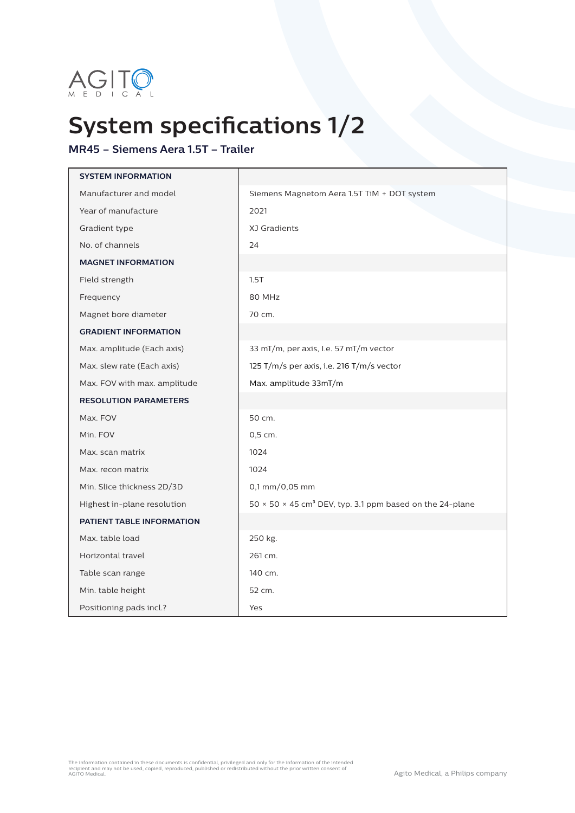

## **System specifications 1/2**

## **MR45 – Siemens Aera 1.5T – Trailer**

| <b>SYSTEM INFORMATION</b>    |                                                                                    |
|------------------------------|------------------------------------------------------------------------------------|
| Manufacturer and model       | Siemens Magnetom Aera 1.5T TiM + DOT system                                        |
| Year of manufacture          | 2021                                                                               |
| Gradient type                | XJ Gradients                                                                       |
| No. of channels              | 24                                                                                 |
| <b>MAGNET INFORMATION</b>    |                                                                                    |
| Field strength               | 1.5T                                                                               |
| Frequency                    | 80 MHz                                                                             |
| Magnet bore diameter         | 70 cm.                                                                             |
| <b>GRADIENT INFORMATION</b>  |                                                                                    |
| Max. amplitude (Each axis)   | 33 mT/m, per axis, I.e. 57 mT/m vector                                             |
| Max. slew rate (Each axis)   | 125 T/m/s per axis, i.e. 216 T/m/s vector                                          |
| Max. FOV with max. amplitude | Max. amplitude 33mT/m                                                              |
| <b>RESOLUTION PARAMETERS</b> |                                                                                    |
| Max. FOV                     | 50 cm.                                                                             |
| Min. FOV                     | 0,5 cm.                                                                            |
| Max. scan matrix             | 1024                                                                               |
| Max. recon matrix            | 1024                                                                               |
| Min. Slice thickness 2D/3D   | $0,1$ mm/0,05 mm                                                                   |
| Highest in-plane resolution  | 50 $\times$ 50 $\times$ 45 cm <sup>3</sup> DEV, typ. 3.1 ppm based on the 24-plane |
| PATIENT TABLE INFORMATION    |                                                                                    |
| Max. table load              | 250 kg.                                                                            |
| Horizontal travel            | 261 cm.                                                                            |
| Table scan range             | 140 cm.                                                                            |
| Min. table height            | 52 cm.                                                                             |
| Positioning pads incl.?      | Yes                                                                                |